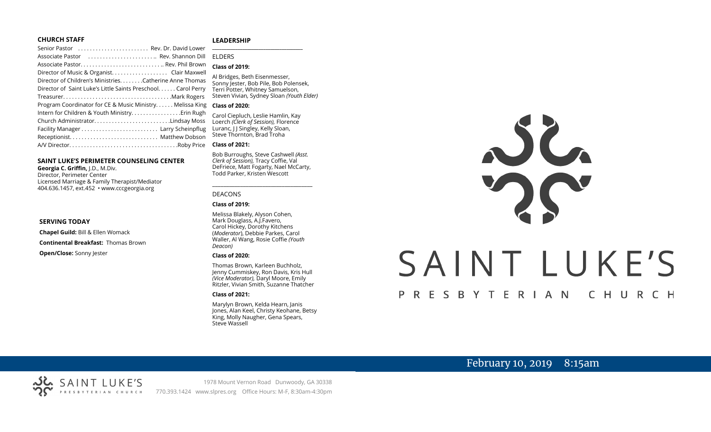#### **CHURCH STAFF**

#### **LEADERSHIP**

| Senior Pastor  Rev. Dr. David Lower                           |                                                                     |
|---------------------------------------------------------------|---------------------------------------------------------------------|
| Associate Pastor  Rev. Shannon Dill                           | <b>FIDERS</b>                                                       |
|                                                               | <b>Class of 2019:</b>                                               |
|                                                               |                                                                     |
| Director of Children's MinistriesCatherine Anne Thomas        | Al Bridges, Beth Eisenmesser,<br>Sonny Jester, Bob Pile, Bob Polens |
| Director of Saint Luke's Little Saints Preschool. Carol Perry | Terri Potter, Whitney Samuelson,                                    |
| TreasurerMark Rogers                                          | Steven Vivian, Sydney Sloan (Youth                                  |
| Program Coordinator for CE & Music Ministry Melissa King      | <b>Class of 2020:</b>                                               |
| Intern for Children & Youth Ministry Erin Rugh                | Carol Ciepluch, Leslie Hamlin, Kay                                  |
| Church AdministratorLindsay Moss                              | Loerch (Clerk of Session), Florence                                 |
|                                                               | Luranc, J J Singley, Kelly Sloan,                                   |
|                                                               | Steve Thornton, Brad Troha                                          |
|                                                               | <b>Class of 2021:</b>                                               |

#### **SAINT LUKE'S PERIMETER COUNSELING CENTER**

**Georgia C. Griffin,** J.D., M.Div. Director, Perimeter Center Licensed Marriage & Family Therapist/Mediator 404.636.1457, ext.452 • www.cccgeorgia.org

#### **SERVING TODAY**

**Chapel Guild:** Bill & Ellen Womack

**Continental Breakfast:** Thomas Brown

**Open/Close:** Sonny Jester

## ELDERS

#### **Class of 2019:**

Al Bridges, Beth Eisenmesser, Sonny Jester, Bob Pile, Bob Polensek, Terri Potter, Whitney Samuelson, Steven Vivian*,* Sydney Sloan *(Youth Elder)*

#### **Class of 2020:**

#### **Class of 2021:**

Bob Burroughs, Steve Cashwell *(Asst. Clerk of Session),* Tracy Coffie, Val DeFriece, Matt Fogarty, Nael McCarty, Todd Parker, Kristen Wescott

\_\_\_\_\_\_\_\_\_\_\_\_\_\_\_\_\_\_\_\_\_\_\_\_\_\_\_\_\_\_\_\_\_\_\_\_

#### DEACONS

#### **Class of 2019:**

Melissa Blakely, Alyson Cohen, Mark Douglass, A.J.Favero, Carol Hickey, Dorothy Kitchens (*Moderator*), Debbie Parkes, Carol Waller, Al Wang, Rosie Coffie *(Youth Deacon)* 

#### **Class of 2020:**

Thomas Brown, Karleen Buchholz, Jenny Cummiskey, Ron Davis, Kris Hull *(Vice Moderator),* Daryl Moore, Emily Ritzler, Vivian Smith, Suzanne Thatcher

#### **Class of 2021:**

Marylyn Brown, Kelda Hearn, Janis Jones, Alan Keel, Christy Keohane, Betsy King, Molly Naugher, Gena Spears, Steve Wassell



# February 10, 2019 8:15am

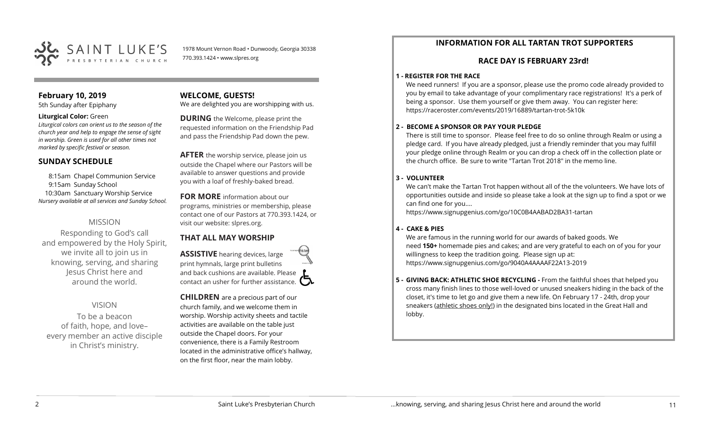

1978 Mount Vernon Road • Dunwoody, Georgia 30338 770.393.1424 • www.slpres.org

## **February 10, 2019**

5th Sunday after Epiphany

#### **Liturgical Color:** Green

*Liturgical colors can orient us to the season of the church year and help to engage the sense of sight in worship. Green is used for all other times not marked by specific festival or season.*

#### **SUNDAY SCHEDULE**

8:15am Chapel Communion Service 9:15am Sunday School 10:30am Sanctuary Worship Service *Nursery available at all services and Sunday School.* 

#### MISSION

Responding to God's call and empowered by the Holy Spirit, we invite all to join us in knowing, serving, and sharing Jesus Christ here and around the world.

#### VISION

To be a beacon of faith, hope, and love– every member an active disciple in Christ's ministry.

## **WELCOME, GUESTS!**

We are delighted you are worshipping with us.

**DURING** the Welcome, please print the requested information on the Friendship Pad and pass the Friendship Pad down the pew.

**AFTER** the worship service, please join us outside the Chapel where our Pastors will be available to answer questions and provide you with a loaf of freshly-baked bread.

## **FOR MORE** information about our programs, ministries or membership, please

contact one of our Pastors at 770.393.1424, or visit our website: slpres.org.

## **THAT ALL MAY WORSHIP**

**ASSISTIVE** hearing devices, large print hymnals, large print bulletins and back cushions are available. Please contact an usher for further assistance.  $\Box$ 

**CHILDREN** are a precious part of our church family, and we welcome them in worship. Worship activity sheets and tactile activities are available on the table just outside the Chapel doors. For your convenience, there is a Family Restroom located in the administrative office's hallway, on the first floor, near the main lobby.

## **INFORMATION FOR ALL TARTAN TROT SUPPORTERS**

### **RACE DAY IS FEBRUARY 23rd!**

#### **1 - REGISTER FOR THE RACE**

We need runners! If you are a sponsor, please use the promo code already provided to you by email to take advantage of your complimentary race registrations! It's a perk of being a sponsor. Use them yourself or give them away. You can register here: [https://raceroster.com/events/2019/16889/tartan](https://raceroster.com/events/2019/16889/tartan-trot-5k10k)-trot-5k10k

#### **2 - BECOME A SPONSOR OR PAY YOUR PLEDGE**

There is still time to sponsor. Please feel free to do so online through Realm or using a pledge card. If you have already pledged, just a friendly reminder that you may fulfill your pledge online through Realm or you can drop a check off in the collection plate or the church office. Be sure to write "Tartan Trot 2018" in the memo line.

#### **3 - VOLUNTEER**

We can't make the Tartan Trot happen without all of the the volunteers. We have lots of opportunities outside and inside so please take a look at the sign up to find a spot or we can find one for you....

[https://www.signupgenius.com/go/10C0B4AABAD2BA31](https://www.signupgenius.com/go/10C0B4AABAD2BA31-tartan)-tartan

#### **4 - CAKE & PIES**

We are famous in the running world for our awards of baked goods. We need **150+** homemade pies and cakes; and are very grateful to each on of you for your willingness to keep the tradition going. Please sign up at: [https://www.signupgenius.com/go/9040A4AAAAF22A13](https://www.signupgenius.com/go/9040A4AAAAF22A13-2019)-2019

**5 - GIVING BACK: ATHLETIC SHOE RECYCLING -** From the faithful shoes that helped you cross many finish lines to those well-loved or unused sneakers hiding in the back of the closet, it's time to let go and give them a new life. On February 17 - 24th, drop your sneakers (athletic shoes only!) in the designated bins located in the Great Hall and lobby.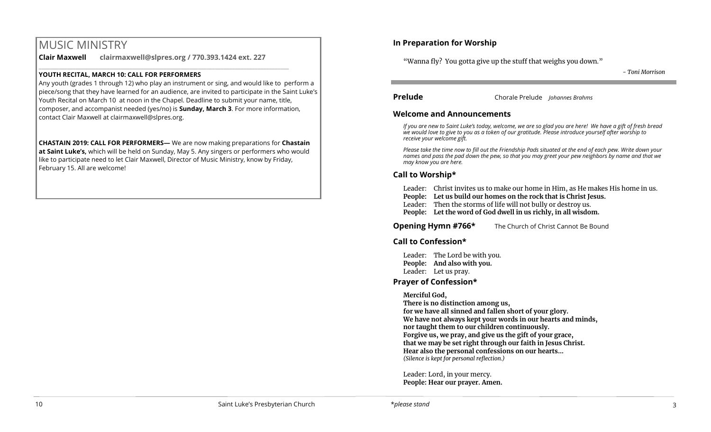# MUSIC MINISTRY

**Clair Maxwell clairmaxwell@slpres.org / 770.393.1424 ext. 227** 

 $\_$  , and the state of the state of the state of the state of the state of the state of the state of the state of the state of the state of the state of the state of the state of the state of the state of the state of the

#### **YOUTH RECITAL, MARCH 10: CALL FOR PERFORMERS**

Any youth (grades 1 through 12) who play an instrument or sing, and would like to perform a piece/song that they have learned for an audience, are invited to participate in the Saint Luke's Youth Recital on March 10 at noon in the Chapel. Deadline to submit your name, title, composer, and accompanist needed (yes/no) is **Sunday, March 3**. For more information, contact Clair Maxwell at clairmaxwell@slpres.org.

**CHASTAIN 2019: CALL FOR PERFORMERS—** We are now making preparations for **Chastain at Saint Luke's,** which will be held on Sunday, May 5. Any singers or performers who would like to participate need to let Clair Maxwell, Director of Music Ministry, know by Friday, February 15. All are welcome!

## **In Preparation for Worship**

"Wanna fly? You gotta give up the stuff that weighs you down."

*- Toni Morrison*

**Prelude** Chorale Prelude *Johannes Brahms*

#### **Welcome and Announcements**

*If you are new to Saint Luke's today, welcome, we are so glad you are here! We have a gift of fresh bread we would love to give to you as a token of our gratitude. Please introduce yourself after worship to receive your welcome gift.*

*Please take the time now to fill out the Friendship Pads situated at the end of each pew. Write down your names and pass the pad down the pew, so that you may greet your pew neighbors by name and that we may know you are here.*

## **Call to Worship\***

- Leader: Christ invites us to make our home in Him, as He makes His home in us.
- **People: Let us build our homes on the rock that is Christ Jesus.**
- Leader: Then the storms of life will not bully or destroy us.
- **People: Let the word of God dwell in us richly, in all wisdom.**

**Opening Hymn #766\*** The Church of Christ Cannot Be Bound

### **Call to Confession\***

Leader: The Lord be with you. **People: And also with you.**  Leader: Let us pray.

## **Prayer of Confession\***

#### **Merciful God,**

**There is no distinction among us, for we have all sinned and fallen short of your glory. We have not always kept your words in our hearts and minds, nor taught them to our children continuously. Forgive us, we pray, and give us the gift of your grace, that we may be set right through our faith in Jesus Christ. Hear also the personal confessions on our hearts…** *(Silence is kept for personal reflection.)*

Leader: Lord, in your mercy. **People: Hear our prayer. Amen.**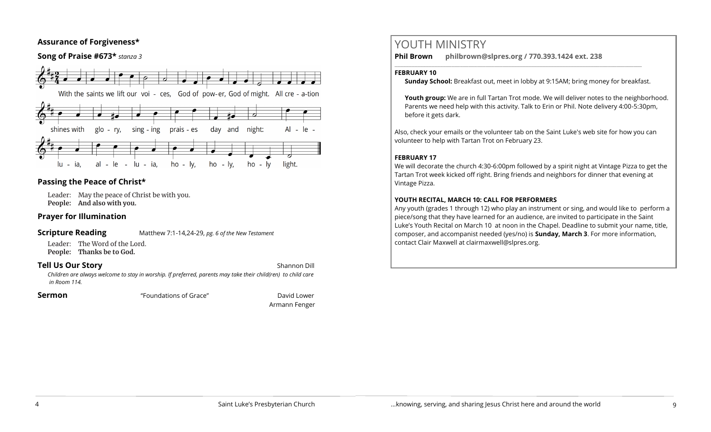## **Assurance of Forgiveness\***

### **Song of Praise #673\*** *stanza 3*



## **Passing the Peace of Christ\***

Leader: May the peace of Christ be with you. **People: And also with you.** 

## **Prayer for Illumination**

#### **Scripture Reading** Matthew 7:1-14,24-29, *pg. 6 of the New Testament*

Leader: The Word of the Lord. **People: Thanks be to God.** 

#### **Tell Us Our Story Shannon Dill Shannon Dill**

*Children are always welcome to stay in worship. If preferred, parents may take their child(ren) to child care in Room 114.*

**Sermon Example 3** Foundations of Grace" **The Contract Contract Contract Contract** David Lower

Armann Fenger

# YOUTH MINISTRY

**Phil Brown philbrown@slpres.org / 770.393.1424 ext. 238**  \_\_\_\_\_\_\_\_\_\_\_\_\_\_\_\_\_\_\_\_\_\_\_\_\_\_\_\_\_\_\_\_\_\_\_\_\_\_\_\_\_\_\_\_\_\_\_\_\_\_\_\_\_\_\_\_\_\_\_\_\_\_\_\_\_\_\_\_\_\_\_\_\_\_\_\_\_\_\_\_\_\_\_\_\_\_\_

#### **FEBRUARY 10**

**Sunday School:** Breakfast out, meet in lobby at 9:15AM; bring money for breakfast.

Youth group: We are in full Tartan Trot mode. We will deliver notes to the neighborhood. Parents we need help with this activity. Talk to Erin or Phil. Note delivery 4:00-5:30pm, before it gets dark.

Also, check your emails or the volunteer tab on the Saint Luke's web site for how you can volunteer to help with Tartan Trot on February 23.

#### **FEBRUARY 17**

We will decorate the church 4:30-6:00pm followed by a spirit night at Vintage Pizza to get the Tartan Trot week kicked off right. Bring friends and neighbors for dinner that evening at Vintage Pizza.

### **YOUTH RECITAL, MARCH 10: CALL FOR PERFORMERS**

Any youth (grades 1 through 12) who play an instrument or sing, and would like to perform a piece/song that they have learned for an audience, are invited to participate in the Saint Luke's Youth Recital on March 10 at noon in the Chapel. Deadline to submit your name, title, composer, and accompanist needed (yes/no) is **Sunday, March 3**. For more information, contact Clair Maxwell at clairmaxwell@slpres.org.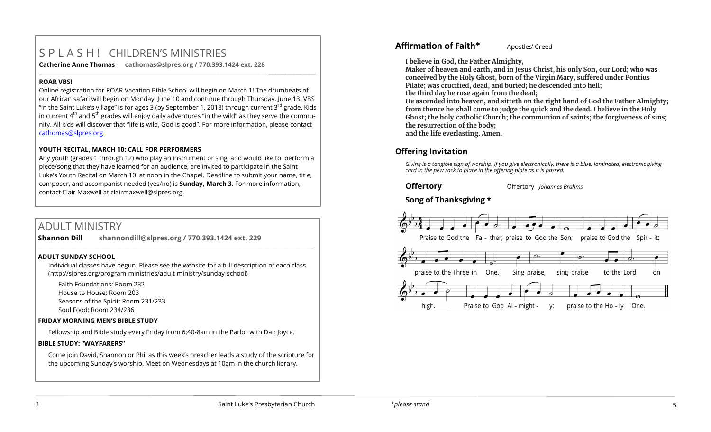# S P L A S H ! CHILDREN'S MINISTRIES

**Catherine Anne Thomas cathomas@slpres.org / 770.393.1424 ext. 228 \_\_\_\_\_\_\_\_\_\_\_\_\_\_\_\_\_\_\_\_\_\_\_\_\_\_\_\_\_\_\_\_\_\_\_\_\_\_\_\_\_\_\_\_\_\_\_\_\_\_\_\_\_\_\_\_\_\_\_\_\_\_\_\_\_\_\_\_\_\_\_\_\_\_\_\_\_\_\_\_\_\_\_\_\_\_\_\_\_\_\_\_\_\_\_\_\_\_\_\_\_\_\_\_\_\_** 

#### **ROAR VBS!**

Online registration for ROAR Vacation Bible School will begin on March 1! The drumbeats of our African safari will begin on Monday, June 10 and continue through Thursday, June 13. VBS "in the Saint Luke's village" is for ages 3 (by September 1, 2018) through current  $3^{rd}$  grade. Kids in current  $4<sup>th</sup>$  and  $5<sup>th</sup>$  grades will enjoy daily adventures "in the wild" as they serve the community. All kids will discover that "life is wild, God is good". For more information, please contact [cathomas@slpres.org.](mailto:cathomas@slpres.org) 

#### **YOUTH RECITAL, MARCH 10: CALL FOR PERFORMERS**

Any youth (grades 1 through 12) who play an instrument or sing, and would like to perform a piece/song that they have learned for an audience, are invited to participate in the Saint Luke's Youth Recital on March 10 at noon in the Chapel. Deadline to submit your name, title, composer, and accompanist needed (yes/no) is **Sunday, March 3**. For more information, contact Clair Maxwell at clairmaxwell@slpres.org.

# ADULT MINISTRY

**Shannon Dill shannondill@slpres.org / 770.393.1424 ext. 229**   $\mathcal{L}_\mathcal{L} = \mathcal{L}_\mathcal{L} = \mathcal{L}_\mathcal{L} = \mathcal{L}_\mathcal{L} = \mathcal{L}_\mathcal{L} = \mathcal{L}_\mathcal{L} = \mathcal{L}_\mathcal{L} = \mathcal{L}_\mathcal{L} = \mathcal{L}_\mathcal{L} = \mathcal{L}_\mathcal{L} = \mathcal{L}_\mathcal{L} = \mathcal{L}_\mathcal{L} = \mathcal{L}_\mathcal{L} = \mathcal{L}_\mathcal{L} = \mathcal{L}_\mathcal{L} = \mathcal{L}_\mathcal{L} = \mathcal{L}_\mathcal{L}$ 

#### **ADULT SUNDAY SCHOOL**

Individual classes have begun. Please see the website for a full description of each class. (http://slpres.org/program-ministries/adult-ministry/sunday-school)

Faith Foundations: Room 232 House to House: Room 203 Seasons of the Spirit: Room 231/233 Soul Food: Room 234/236

#### **FRIDAY MORNING MEN'S BIBLE STUDY**

Fellowship and Bible study every Friday from 6:40-8am in the Parlor with Dan Joyce.

#### **BIBLE STUDY: "WAYFARERS"**

Come join David, Shannon or Phil as this week's preacher leads a study of the scripture for the upcoming Sunday's worship. Meet on Wednesdays at 10am in the church library.

## **Affirmation of Faith\*** Apostles' Creed

**I believe in God, the Father Almighty,**

**Maker of heaven and earth, and in Jesus Christ, his only Son, our Lord; who was conceived by the Holy Ghost, born of the Virgin Mary, suffered under Pontius Pilate; was crucified, dead, and buried; he descended into hell; the third day he rose again from the dead;**

**He ascended into heaven, and sitteth on the right hand of God the Father Almighty; from thence he shall come to judge the quick and the dead. I believe in the Holy Ghost; the holy catholic Church; the communion of saints; the forgiveness of sins; the resurrection of the body; and the life everlasting. Amen.**

## **Offering Invitation**

*Giving is a tangible sign of worship. If you give electronically, there is a blue, laminated, electronic giving card in the pew rack to place in the offering plate as it is passed.*